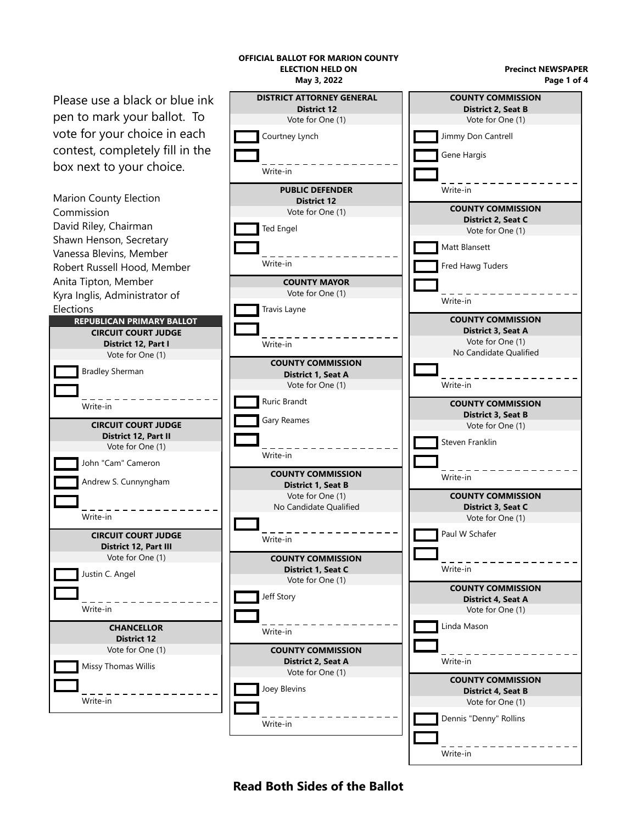

## **Read Both Sides of the Ballot**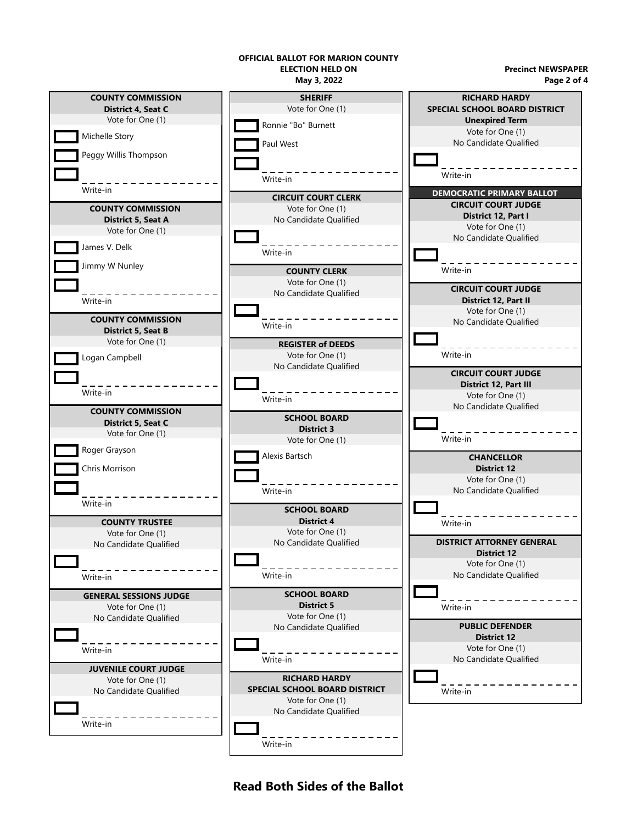## **OFFICIAL BALLOT FOR MARION COUNTY ELECTION HELD ON**

**Precinct NEWSPAPER Page 2 of 4**



**Read Both Sides of the Ballot**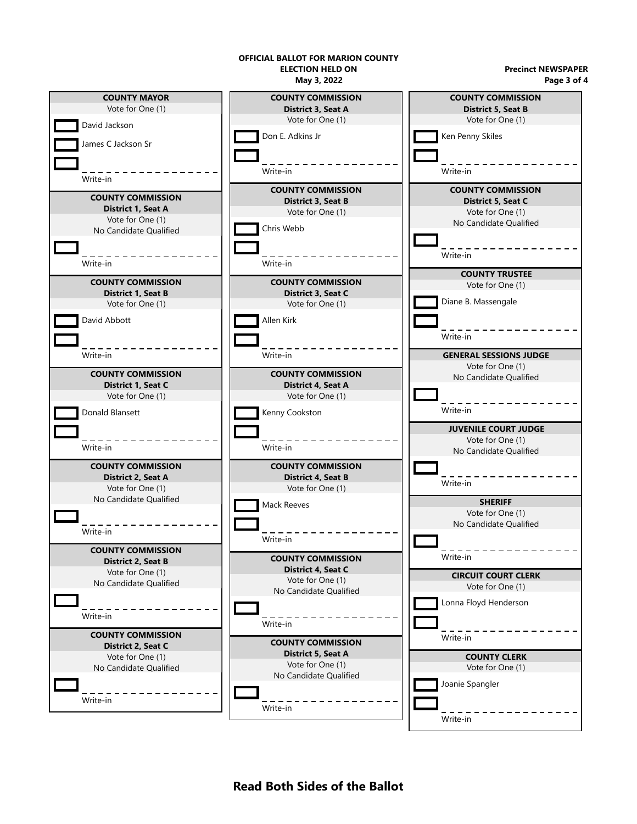## **OFFICIAL BALLOT FOR MARION COUNTY ELECTION HELD ON**

**May 3, 2022**

**Precinct NEWSPAPER Page 3 of 4**